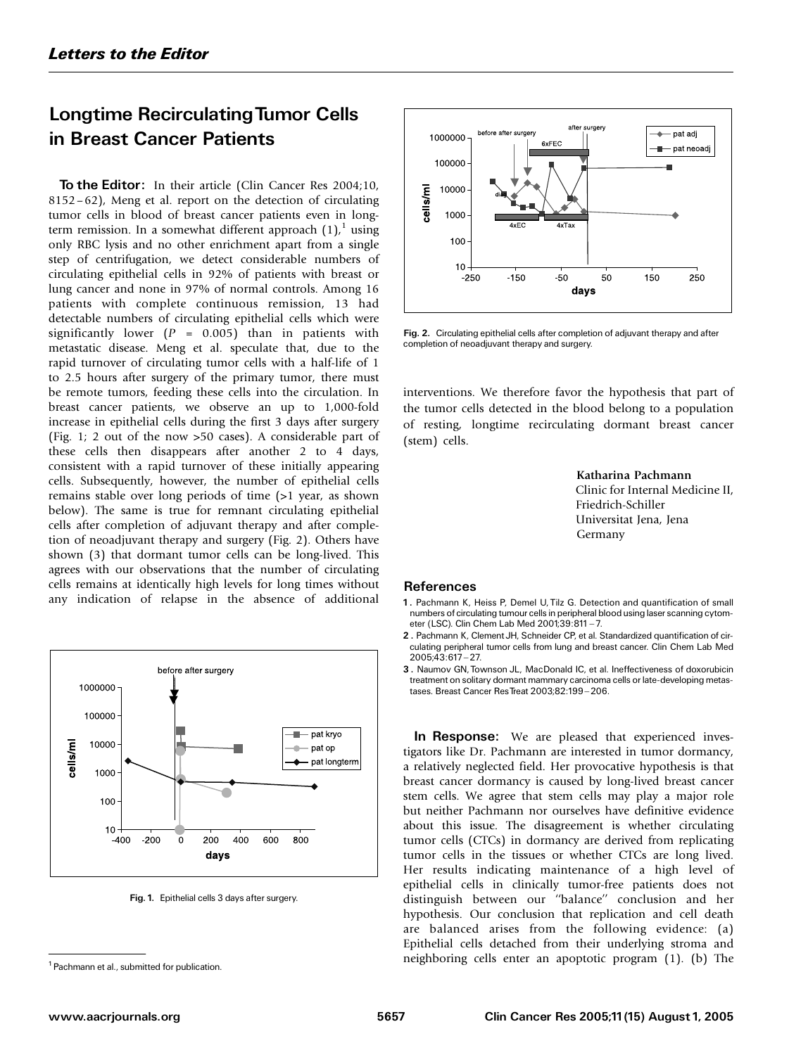## Longtime RecirculatingTumor Cells in Breast Cancer Patients

To the Editor: In their article (Clin Cancer Res 2004;10, 8152–62), Meng et al. report on the detection of circulating tumor cells in blood of breast cancer patients even in longterm remission. In a somewhat different approach  $(1)$ ,<sup>1</sup> using only RBC lysis and no other enrichment apart from a single step of centrifugation, we detect considerable numbers of circulating epithelial cells in 92% of patients with breast or lung cancer and none in 97% of normal controls. Among 16 patients with complete continuous remission, 13 had detectable numbers of circulating epithelial cells which were significantly lower ( $P = 0.005$ ) than in patients with metastatic disease. Meng et al. speculate that, due to the rapid turnover of circulating tumor cells with a half-life of 1 to 2.5 hours after surgery of the primary tumor, there must be remote tumors, feeding these cells into the circulation. In breast cancer patients, we observe an up to 1,000-fold increase in epithelial cells during the first 3 days after surgery (Fig. 1; 2 out of the now >50 cases). A considerable part of these cells then disappears after another 2 to 4 days, consistent with a rapid turnover of these initially appearing cells. Subsequently, however, the number of epithelial cells remains stable over long periods of time (>1 year, as shown below). The same is true for remnant circulating epithelial cells after completion of adjuvant therapy and after completion of neoadjuvant therapy and surgery (Fig. 2). Others have shown (3) that dormant tumor cells can be long-lived. This agrees with our observations that the number of circulating cells remains at identically high levels for long times without any indication of relapse in the absence of additional



Fig. 1. Epithelial cells 3 days after surgery.



Fig. 2. Circulating epithelial cells after completion of adjuvant therapy and after completion of neoadjuvant therapy and surgery.

interventions. We therefore favor the hypothesis that part of the tumor cells detected in the blood belong to a population of resting, longtime recirculating dormant breast cancer (stem) cells.

> Katharina Pachmann Clinic for Internal Medicine II, Friedrich-Schiller Universitat Jena, Jena Germany

## References

- 1. Pachmann K, Heiss P, Demel U, Tilz G. Detection and quantification of small numbers of circulating tumour cells in peripheral blood using laser scanning cytometer (LSC). Clin Chem Lab Med 2001;39:811 - 7.
- 2 . Pachmann K, Clement JH, Schneider CP, et al. Standardized quantification of circulating peripheral tumor cells from lung and breast cancer. Clin Chem Lab Med 2005;43:617 ^ 27.
- 3 . Naumov GN, Townson JL, MacDonald IC, et al. Ineffectiveness of doxorubicin treatment on solitary dormant mammary carcinoma cells or late-developing metastases. Breast Cancer ResTreat 2003;82:199-206.

In Response: We are pleased that experienced investigators like Dr. Pachmann are interested in tumor dormancy, a relatively neglected field. Her provocative hypothesis is that breast cancer dormancy is caused by long-lived breast cancer stem cells. We agree that stem cells may play a major role but neither Pachmann nor ourselves have definitive evidence about this issue. The disagreement is whether circulating tumor cells (CTCs) in dormancy are derived from replicating tumor cells in the tissues or whether CTCs are long lived. Her results indicating maintenance of a high level of epithelial cells in clinically tumor-free patients does not distinguish between our ''balance'' conclusion and her hypothesis. Our conclusion that replication and cell death are balanced arises from the following evidence: (a) Epithelial cells detached from their underlying stroma and neighboring cells enter an apoptotic program (1). (b) The

<sup>&</sup>lt;sup>1</sup> Pachmann et al., submitted for publication.